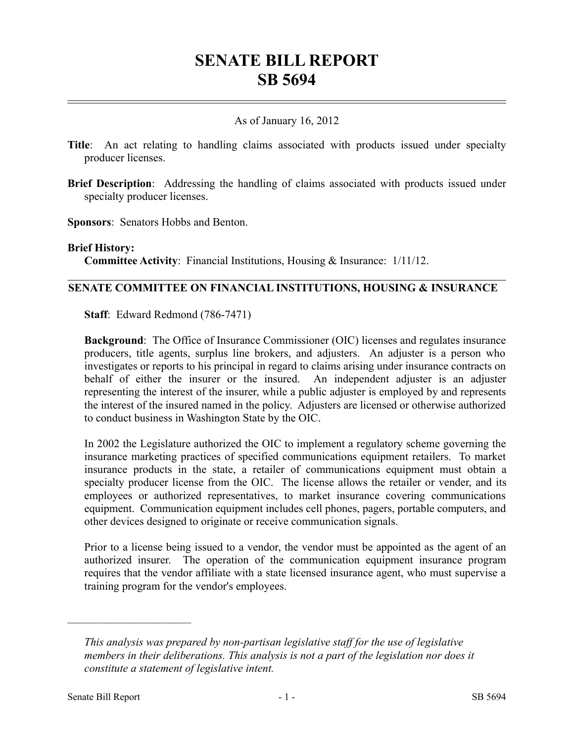# **SENATE BILL REPORT SB 5694**

## As of January 16, 2012

- **Title**: An act relating to handling claims associated with products issued under specialty producer licenses.
- **Brief Description**: Addressing the handling of claims associated with products issued under specialty producer licenses.

**Sponsors**: Senators Hobbs and Benton.

#### **Brief History:**

**Committee Activity**: Financial Institutions, Housing & Insurance: 1/11/12.

## **SENATE COMMITTEE ON FINANCIAL INSTITUTIONS, HOUSING & INSURANCE**

**Staff**: Edward Redmond (786-7471)

**Background:** The Office of Insurance Commissioner (OIC) licenses and regulates insurance producers, title agents, surplus line brokers, and adjusters. An adjuster is a person who investigates or reports to his principal in regard to claims arising under insurance contracts on behalf of either the insurer or the insured. An independent adjuster is an adjuster representing the interest of the insurer, while a public adjuster is employed by and represents the interest of the insured named in the policy. Adjusters are licensed or otherwise authorized to conduct business in Washington State by the OIC.

In 2002 the Legislature authorized the OIC to implement a regulatory scheme governing the insurance marketing practices of specified communications equipment retailers. To market insurance products in the state, a retailer of communications equipment must obtain a specialty producer license from the OIC. The license allows the retailer or vender, and its employees or authorized representatives, to market insurance covering communications equipment. Communication equipment includes cell phones, pagers, portable computers, and other devices designed to originate or receive communication signals.

Prior to a license being issued to a vendor, the vendor must be appointed as the agent of an authorized insurer. The operation of the communication equipment insurance program requires that the vendor affiliate with a state licensed insurance agent, who must supervise a training program for the vendor's employees.

––––––––––––––––––––––

*This analysis was prepared by non-partisan legislative staff for the use of legislative members in their deliberations. This analysis is not a part of the legislation nor does it constitute a statement of legislative intent.*